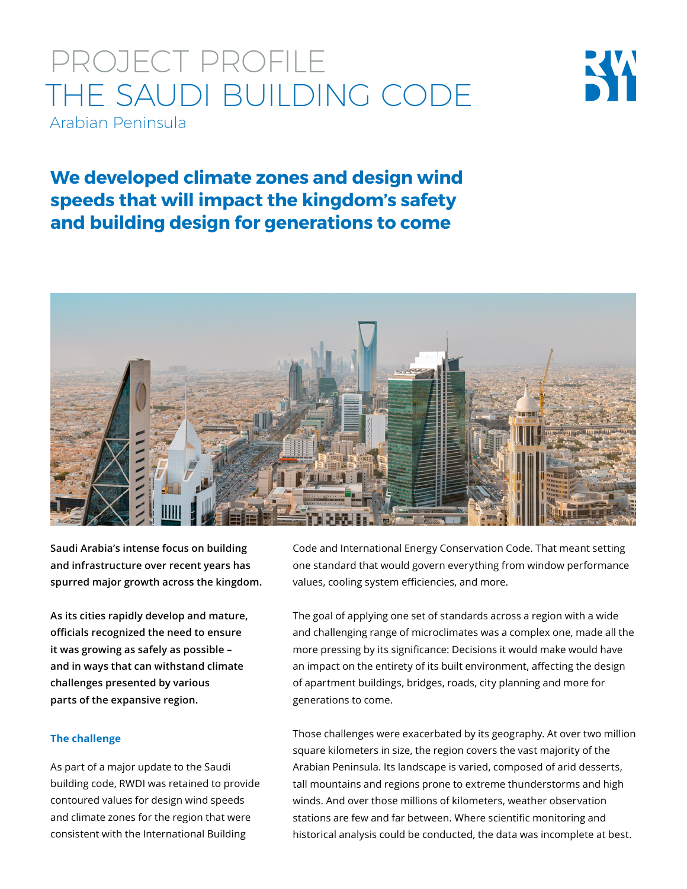## PROJECT PROFILE THE SAUDI BUILDING CODE Arabian Peninsula



**We developed climate zones and design wind speeds that will impact the kingdom's safety and building design for generations to come**



**Saudi Arabia's intense focus on building and infrastructure over recent years has spurred major growth across the kingdom.**

**As its cities rapidly develop and mature, officials recognized the need to ensure it was growing as safely as possible – and in ways that can withstand climate challenges presented by various parts of the expansive region.** 

### **The challenge**

As part of a major update to the Saudi building code, RWDI was retained to provide contoured values for design wind speeds and climate zones for the region that were consistent with the International Building

Code and International Energy Conservation Code. That meant setting one standard that would govern everything from window performance values, cooling system efficiencies, and more.

The goal of applying one set of standards across a region with a wide and challenging range of microclimates was a complex one, made all the more pressing by its significance: Decisions it would make would have an impact on the entirety of its built environment, affecting the design of apartment buildings, bridges, roads, city planning and more for generations to come.

Those challenges were exacerbated by its geography. At over two million square kilometers in size, the region covers the vast majority of the Arabian Peninsula. Its landscape is varied, composed of arid desserts, tall mountains and regions prone to extreme thunderstorms and high winds. And over those millions of kilometers, weather observation stations are few and far between. Where scientific monitoring and historical analysis could be conducted, the data was incomplete at best.